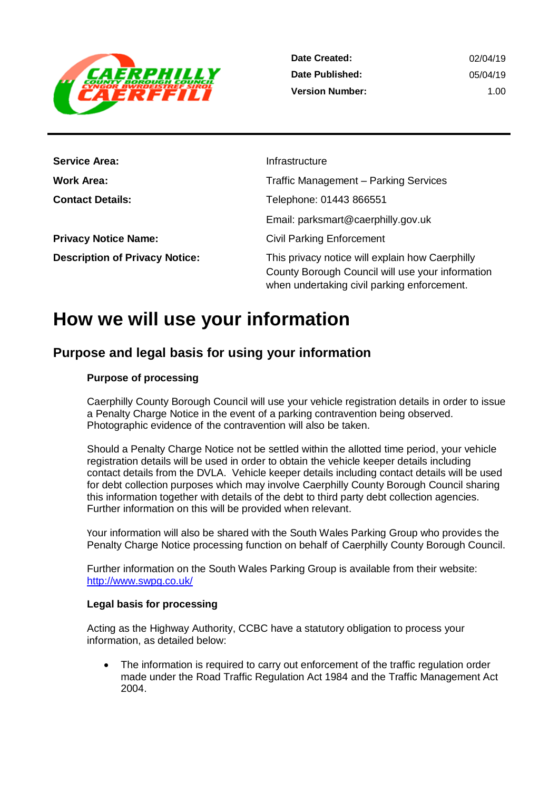

| <b>Service Area:</b>                  | Infrastructure                                                                                                                                     |
|---------------------------------------|----------------------------------------------------------------------------------------------------------------------------------------------------|
| Work Area:                            | <b>Traffic Management – Parking Services</b>                                                                                                       |
| <b>Contact Details:</b>               | Telephone: 01443 866551                                                                                                                            |
|                                       | Email: parksmart@caerphilly.gov.uk                                                                                                                 |
| <b>Privacy Notice Name:</b>           | <b>Civil Parking Enforcement</b>                                                                                                                   |
| <b>Description of Privacy Notice:</b> | This privacy notice will explain how Caerphilly<br>County Borough Council will use your information<br>when undertaking civil parking enforcement. |

# **How we will use your information**

## **Purpose and legal basis for using your information**

#### **Purpose of processing**

Caerphilly County Borough Council will use your vehicle registration details in order to issue a Penalty Charge Notice in the event of a parking contravention being observed. Photographic evidence of the contravention will also be taken.

Should a Penalty Charge Notice not be settled within the allotted time period, your vehicle registration details will be used in order to obtain the vehicle keeper details including contact details from the DVLA. Vehicle keeper details including contact details will be used for debt collection purposes which may involve Caerphilly County Borough Council sharing this information together with details of the debt to third party debt collection agencies. Further information on this will be provided when relevant.

Your information will also be shared with the South Wales Parking Group who provides the Penalty Charge Notice processing function on behalf of Caerphilly County Borough Council.

Further information on the South Wales Parking Group is available from their website: <http://www.swpg.co.uk/>

#### **Legal basis for processing**

Acting as the Highway Authority, CCBC have a statutory obligation to process your information, as detailed below:

 The information is required to carry out enforcement of the traffic regulation order made under the Road Traffic Regulation Act 1984 and the Traffic Management Act 2004.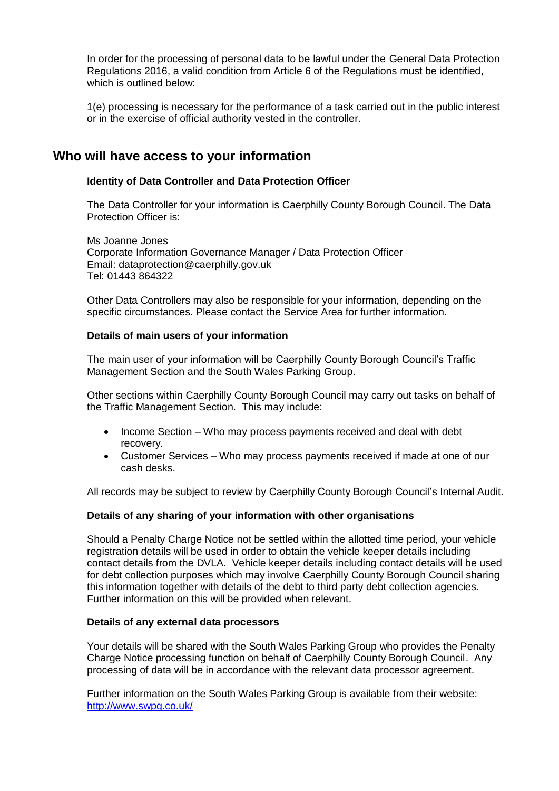In order for the processing of personal data to be lawful under the General Data Protection Regulations 2016, a valid condition from Article 6 of the Regulations must be identified, which is outlined below:

1(e) processing is necessary for the performance of a task carried out in the public interest or in the exercise of official authority vested in the controller.

## **Who will have access to your information**

#### **Identity of Data Controller and Data Protection Officer**

The Data Controller for your information is Caerphilly County Borough Council. The Data Protection Officer is:

Ms Joanne Jones Corporate Information Governance Manager / Data Protection Officer Email: dataprotection@caerphilly.gov.uk Tel: 01443 864322

Other Data Controllers may also be responsible for your information, depending on the specific circumstances. Please contact the Service Area for further information.

#### **Details of main users of your information**

The main user of your information will be Caerphilly County Borough Council's Traffic Management Section and the South Wales Parking Group.

Other sections within Caerphilly County Borough Council may carry out tasks on behalf of the Traffic Management Section. This may include:

- $\bullet$  Income Section Who may process payments received and deal with debt recovery.
- Customer Services Who may process payments received if made at one of our cash desks.

All records may be subject to review by Caerphilly County Borough Council's Internal Audit.

#### **Details of any sharing of your information with other organisations**

Should a Penalty Charge Notice not be settled within the allotted time period, your vehicle registration details will be used in order to obtain the vehicle keeper details including contact details from the DVLA. Vehicle keeper details including contact details will be used for debt collection purposes which may involve Caerphilly County Borough Council sharing this information together with details of the debt to third party debt collection agencies. Further information on this will be provided when relevant.

#### **Details of any external data processors**

Your details will be shared with the South Wales Parking Group who provides the Penalty Charge Notice processing function on behalf of Caerphilly County Borough Council. Any processing of data will be in accordance with the relevant data processor agreement.

Further information on the South Wales Parking Group is available from their website: <http://www.swpg.co.uk/>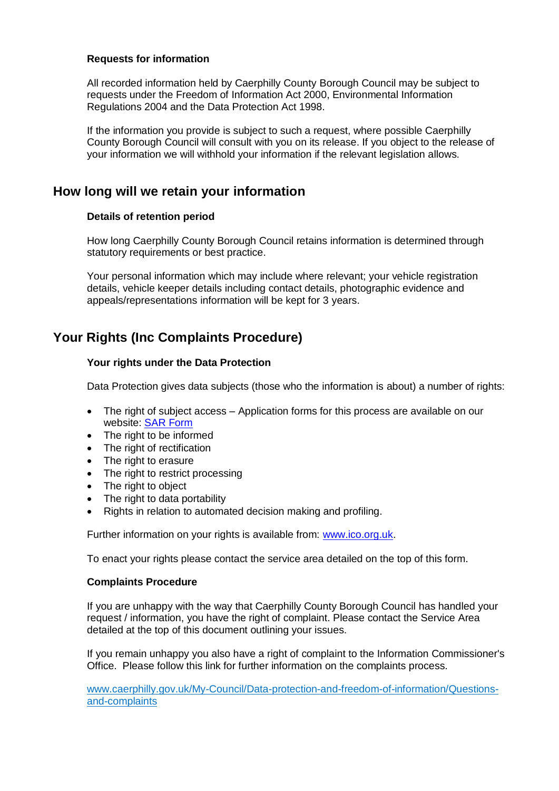#### **Requests for information**

All recorded information held by Caerphilly County Borough Council may be subject to requests under the Freedom of Information Act 2000, Environmental Information Regulations 2004 and the Data Protection Act 1998.

If the information you provide is subject to such a request, where possible Caerphilly County Borough Council will consult with you on its release. If you object to the release of your information we will withhold your information if the relevant legislation allows.

### **How long will we retain your information**

#### **Details of retention period**

How long Caerphilly County Borough Council retains information is determined through statutory requirements or best practice.

Your personal information which may include where relevant; your vehicle registration details, vehicle keeper details including contact details, photographic evidence and appeals/representations information will be kept for 3 years.

## **Your Rights (Inc Complaints Procedure)**

#### **Your rights under the Data Protection**

Data Protection gives data subjects (those who the information is about) a number of rights:

- The right of subject access Application forms for this process are available on our website: **SAR Form**
- The right to be informed
- The right of rectification
- The right to erasure
- The right to restrict processing
- The right to object
- The right to data portability
- Rights in relation to automated decision making and profiling.

Further information on your rights is available from: [www.ico.org.uk.](http://www.ico.org.uk/)

To enact your rights please contact the service area detailed on the top of this form.

#### **Complaints Procedure**

If you are unhappy with the way that Caerphilly County Borough Council has handled your request / information, you have the right of complaint. Please contact the Service Area detailed at the top of this document outlining your issues.

If you remain unhappy you also have a right of complaint to the Information Commissioner's Office. Please follow this link for further information on the complaints process.

[www.caerphilly.gov.uk/My-Council/Data-protection-and-freedom-of-information/Questions](http://www.caerphilly.gov.uk/My-Council/Data-protection-and-freedom-of-information/Questions-and-complaints)[and-complaints](http://www.caerphilly.gov.uk/My-Council/Data-protection-and-freedom-of-information/Questions-and-complaints)